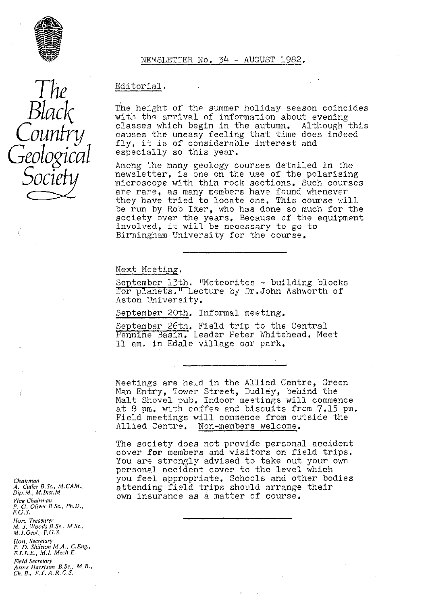

*The*

*Black*

*Country*

*Geological*

*Socie*

Editorial.

The height of the summer holiday season coincides with the arrival of information about evening classes which begin in the autumn. Although this causes the uneasy feeling that time does indeed fly, it is of considerable interest and especially so this year.

Among the many geology courses detailed in the *newsletter, is* one on the use of the polarising microscope with thin rock sections. Such courses *are rare, as many* members have found whenever they have tried to locate one. This course will be run by Rob fixer, who has done so much for the society over the years. Because of the equipment involved, it will be necessary to go to Birmingham University for the course. Invorved, it will be hecessary to go to<br>Birmingham University for the course.<br>Next Meeting.<br>September 13th. "Meteorites - building blocks

for planets." Lecture by Dr.John Ashworth of Aston University.

September 20th. Informal meeting.

September 26th. Field trip to the Central Pennine Basin. Leader Peter Whitehead. Meet .l am. in Edale village car park.

Meetings are held in the Allied Centre, Green Man Entry, Tower Street, Dudley, behind the Malt Shovel pub. Indoor meetings will commence at 8 pm. with coffee and biscuits from 7.15 pm. Field meetings will commence from outside the Allied Centre. Non-members welcome.

The society does not provide personal accident cover for members and visitors on field trips. You are strongly advised to take out your own personal accident cover to the level which you feel appropriate. Schools and other bodies attending field trips should arrange their own insurance as a matter of course.

*Chairman A. Cutler B.Sc., M.CAM" Dip, M,, M.Inst. M. Vice Chairman* P. G. *Oliver B.Sc., Ph.D., F. G. S. Hon. Treasurer M. J. Woods B.Sc., M,Sc., M.1, Geol, F, G. S, flan, Secretary P. D. Shilston M.A.,* C.Eng., F,I,E,E., *M.1. Mech,E.*

*Field Secretary Anne Harrison* B.Sc,, *M, B., Ch\_ B., F. F. A. R, C. S,*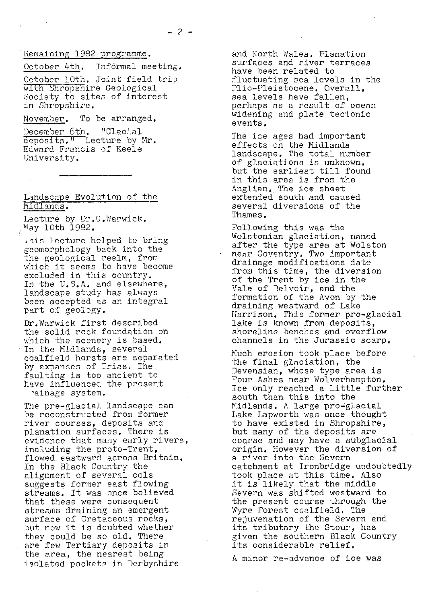## Remaining 1982 programme .

October 4th. Informal meeting.

October 10th. Joint field trip with Shropshire Geological Society to sites of interest in Shropshire.

November. To be arranged.

December 6th. "Glacial deposits." Lecture by Mr. Edward Francis of Keele University.

### Landscape Evolution of the Midlands,

Lecture by Dr.G.Warwick.  $May$  10th 1982.

.his lecture helped to bring geomorphology back into the the geological realm, from which it seems to have become excluded in this country. In the U.S.A. and elsewhere, landscape study has always been accepted as an integral part of geology.

Dr.Warwick first described the solid rock foundation on which the scenery is based. In the Midlands, several coalfield horsts are separated by expanses of Trias. The faulting is too ancient to have influenced the present 'ainage system.

The pre-glacial landscape can be reconstructed from former river courses, deposits and planation surfaces. There is evidence that many early rivers, including the proto-Trent, flowed eastward across Britain. In the Black Country the alignment of several cols suggests former east flowing streams, It was once believed that these were consequent streams draining an emergent surface of Cretaceous rocks, but now it is doubted whether they could be so old. There are *few* Tertiary deposits in the area, the nearest being isolated pockets in Derbyshire

and North Wales. Planation surfaces and river terraces have been related to fluctuating sea levels in the Plio-Pleistocene. Overall, sea levels have fallen, perhaps as a result of ocean widening and plate tectonic events.

The ice ages had important effects on the Midlands landscape. The total number of glaciations is unknown, but the earliest till found in this area is from the Anglian.. The ice sheet extended south and caused several diversions of the Thames.

Following this was the Wolstonian glaciation, named after the type area at Wolston near Coventry, Two important drainage modifications date from this time, the diversion of the Trent by ice in the Vale of Belvoir, and the formation of the Avon by the draining westward of Lake Harrison. This former pro-glacial lake is known from deposits, shoreline benches and overflow channels in the Jurassic scarp.

Much erosion took place before the final glaciation, the Devensian, whose type area is Four Ashes near Wolverhampton. Ice only reached a little further south than this into the Midlands. A large pro-glacial Lake Lapworth was once thought to have existed in Shropshire, but many of the deposits are coarse and may have a subglacial origin. However the diversion of a river into the Severn catchment at Ironbridge undoubtedly took place at this time. Also it is likely that the middle Severn was shifted westward to the present course through the Wyre Forest coalfield. The rejuvenation of the Severn and its tributary the Stour, has given the southern Black Country its considerable relief.

A minor re-advance of ice was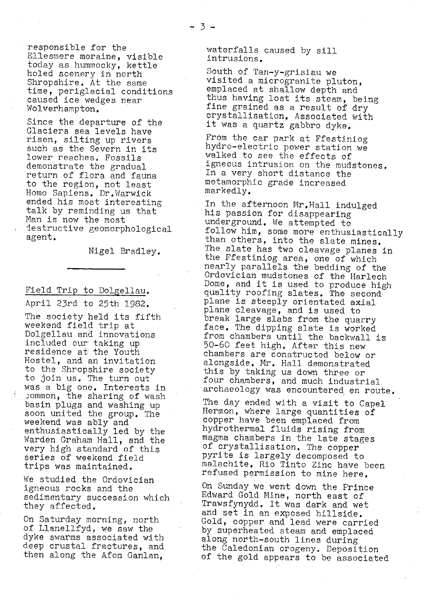responsible for the Ellesmere moraine, visible today as hummocky, kettle holed scenery in north Shropshire. At the same time, periglacial conditions caused ice wedges near Wolverhampton.

Since the departure of the Glaciers sea levels have risen, silting up rivers such as the Severn in its lower reaches. Fossils demonstrate the gradual return of flora and fauna to the region, not least Homo Sapiens. Dr.Warwick ended his most interesting talk by reminding us that Man is now the most destructive geomorphological agent.

Nigel Bradley.

# Field Trip to Dolgellau.

April 23rd to 25th 1982.

The society held its fifth weekend field trip at Dolgellau and innovations included our taking up residence at the Youth Hostel, and an invitation to the Shropshire society to join us. The turn out was a big one. Interests in ... ommon, the sharing of wash basin plugs and washing up soon united the group. The weekend was ably and enthusiastically led by the Warden Graham Hall, and the very high standard of this series of weekend field trips was maintained,

We studied the Ordovician igneous rocks and the sedimentary succession which they affected.

On Saturday morning, north of Lianellfyd, we saw the dyke swarms associated with deep crustal fractures, and then along the Afon Ganlan,

waterfalls caused by sill intrusions.

South of Tan-y-grisiau we visited a microgranite pluton, emplaced at shallow depth and thus having lost its steam, being fine grained as a result of dry crystallisation. Associated with it was a quartz gabbro dyke,

From the car park at Ffestiniog hydro-electric power station we walked to see the effects of igneous intrusion on the mudstones. In a very short distance the metamorphic grade increased markedly.

In the afternoon Mr,Hall indulged his passion for disappearing underground. We attempted to follow him, some more enthusiastically than others, into the slate mines. The slate has two cleavage planes in the Ffestiniog area, one of which nearly parallels the bedding of the Ordovician mudstones of the Harlech Dome, and it is used to produce high quality roofing slates. The second plane is steeply orientated axial plane cleavage, and is used to break large slabs from the quarry face. The dipping slate is worked from chambers until the backwall is 50-60 feet high. After this new chambers are constructed below or alongside. Mr. Hall demonstrated this by taking us down three or four chambers, and much industrial archaeology was encountered en route.

The day ended with a visit to Capel Hermon, where large quantities of copper have been emplaced from hydrothermal fluids rising from magma chambers in the late stages of crystallisation. The copper pyrite is largely decomposed to malachite, Rio Tinto Zinc have been refused permission to mine here.

On Sunday we went down the Prince Edward Gold Mine, north east of Trawsfynydd. It was dark and wet and set in an exposed hillside. Gold, copper and lead were carried by superheated steam and emplaced along north-south lines during the Caledonian orogeny. Deposition of the gold appears to be associated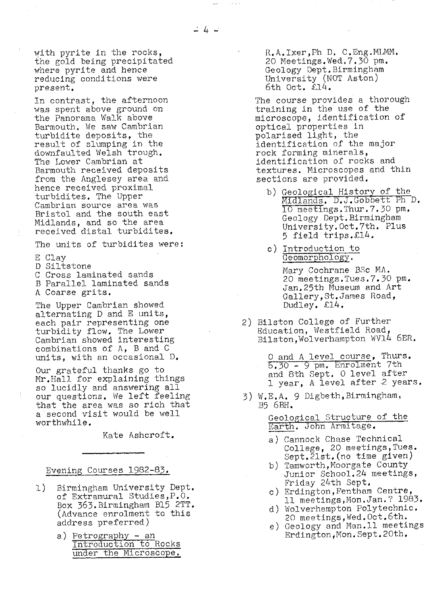with pyrite in the rocks, the gold being precipitated where pyrite and hence reducing conditions were present.

In contrast, the afternoon was spent above ground on the Panorama Walk above Barmouth. We saw Cambrian turbidite deposits, the result of slumping in the downfaulted Welsh trough. The Lower Cambrian at Barmouth received deposits from the Anglesey area and hence received proximal turbidites. The Upper Cambrian source area was Bristol and the south east Midlands, and so the area received distal turbidites.

The units of turbidites were:

E Clay

D Siltstone

C Cross laminated sands

B Parallel laminated sands A Coarse grits.

The Upper Cambrian showed alternating D and E units, each pair representing one turbidity flow. The Lower Cambrian showed interesting combinations of A, B and C units., with an occasional D.

Our grateful thanks go to Mr.Hall for explaining things so lucidly and answering all our questions. We left feeling that the area was so rich that a second visit would be well worthwhile.

Kate Ashcroft.

- 1) Birmingham University Dept.<br>
of Extramural Studies, P.O. (c) Erdington, Fentham Centre, Extramural Studies,F.O. 11 meetings,Mon. Jan. ? 1983.<br>Box 363. Birmingham B15 2TT. d) Wolverhampton Polytechnic.<br>(Advance enrolment to this 20 meetings. Wed. Oct.6th.
	- a) Petrography an Erdington, Mon. Sept. 20th. Introduction to Rocks under the Microscope.

R.A.Ixer,Ph **D.** C.Eng.MLMM. 20 Meetings.Wed.7.30 pm. Geology Dept. Birmingham University (NOT Aston) 6th Oct.  $\mathcal{L}14$ .

The course provides a thorough training in the use of the microscope, identification of optical properties in polarised light, the identification of the major rock forming minerals, identification of rocks and textures. Microscopes and thin sections are provided.

- b) Geological History of the Midlands. D.J.Gobbett Ph D. 17 meetings.Thur.7.30 pm. Geology Dept. Birmingham University, Oct. 7th. Plus 5 field trips.^14.
- c) Introduction to Geomorphology.

Mary Cochrane BSc MA. 20 meetings.Tues.7.30 pm. Jan.25th Museum and Art Gallery, St. James Road, Dudley. £14.

2) Bilston College of Further Education, Westfield Road, Bilston,Wolverhampton WV14 6ER.

> 0 and A level course, Thurs.  $5.30 - 9$  pm. Enrolment 7th and 8th Sept. 0 level after 1 year, A level after 2 years.

3) W.E.A. 9 Digbeth,Birmingham, B5 6BH.

> Geological Structure of the Earth. John Armitage.

- a) Cannock Chase Technical College, 20 meetings,Tues. Cept.2lst.(no time given)
- Evening Courses 1982-83. b) Tamworth,Moorgate County Junior School.24 meetings, Friday 24th Sept,
	-
	-
	- ddress preferred) address preferred) e) Geology and Man.11 meetings